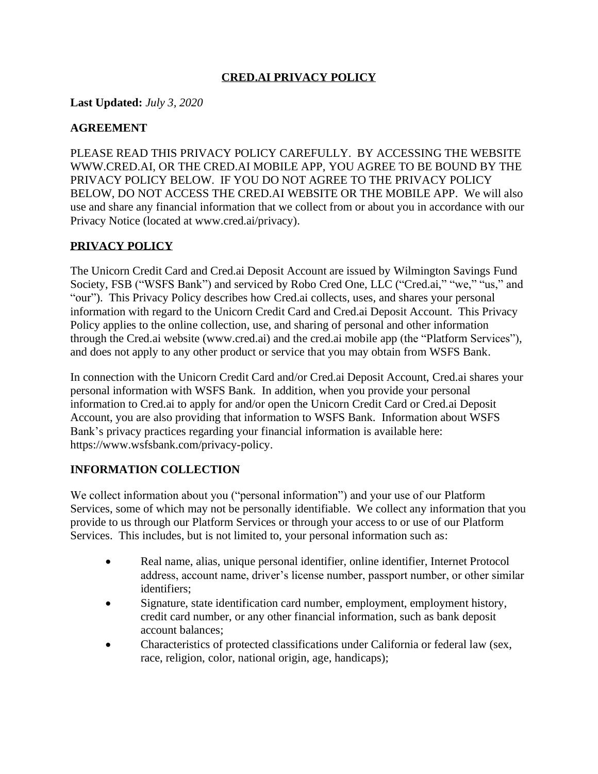## **CRED.AI PRIVACY POLICY**

**Last Updated:** *July 3, 2020*

### **AGREEMENT**

PLEASE READ THIS PRIVACY POLICY CAREFULLY. BY ACCESSING THE WEBSITE WWW.CRED.AI, OR THE CRED.AI MOBILE APP, YOU AGREE TO BE BOUND BY THE PRIVACY POLICY BELOW. IF YOU DO NOT AGREE TO THE PRIVACY POLICY BELOW, DO NOT ACCESS THE CRED.AI WEBSITE OR THE MOBILE APP. We will also use and share any financial information that we collect from or about you in accordance with our Privacy Notice (located at www.cred.ai/privacy).

#### **PRIVACY POLICY**

The Unicorn Credit Card and Cred.ai Deposit Account are issued by Wilmington Savings Fund Society, FSB ("WSFS Bank") and serviced by Robo Cred One, LLC ("Cred.ai," "we," "us," and "our"). This Privacy Policy describes how Cred.ai collects, uses, and shares your personal information with regard to the Unicorn Credit Card and Cred.ai Deposit Account. This Privacy Policy applies to the online collection, use, and sharing of personal and other information through the Cred.ai website (www.cred.ai) and the cred.ai mobile app (the "Platform Services"), and does not apply to any other product or service that you may obtain from WSFS Bank.

In connection with the Unicorn Credit Card and/or Cred.ai Deposit Account, Cred.ai shares your personal information with WSFS Bank. In addition, when you provide your personal information to Cred.ai to apply for and/or open the Unicorn Credit Card or Cred.ai Deposit Account, you are also providing that information to WSFS Bank. Information about WSFS Bank's privacy practices regarding your financial information is available here: https://www.wsfsbank.com/privacy-policy.

#### **INFORMATION COLLECTION**

We collect information about you ("personal information") and your use of our Platform Services, some of which may not be personally identifiable. We collect any information that you provide to us through our Platform Services or through your access to or use of our Platform Services. This includes, but is not limited to, your personal information such as:

- Real name, alias, unique personal identifier, online identifier, Internet Protocol address, account name, driver's license number, passport number, or other similar identifiers;
- Signature, state identification card number, employment, employment history, credit card number, or any other financial information, such as bank deposit account balances;
- Characteristics of protected classifications under California or federal law (sex, race, religion, color, national origin, age, handicaps);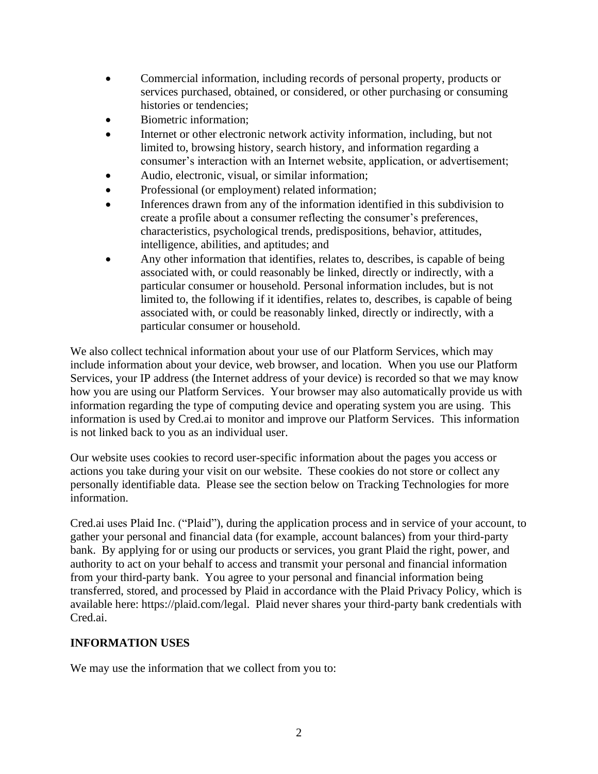- Commercial information, including records of personal property, products or services purchased, obtained, or considered, or other purchasing or consuming histories or tendencies;
- Biometric information;
- Internet or other electronic network activity information, including, but not limited to, browsing history, search history, and information regarding a consumer's interaction with an Internet website, application, or advertisement;
- Audio, electronic, visual, or similar information;
- Professional (or employment) related information;
- Inferences drawn from any of the information identified in this subdivision to create a profile about a consumer reflecting the consumer's preferences, characteristics, psychological trends, predispositions, behavior, attitudes, intelligence, abilities, and aptitudes; and
- Any other information that identifies, relates to, describes, is capable of being associated with, or could reasonably be linked, directly or indirectly, with a particular consumer or household. Personal information includes, but is not limited to, the following if it identifies, relates to, describes, is capable of being associated with, or could be reasonably linked, directly or indirectly, with a particular consumer or household.

We also collect technical information about your use of our Platform Services, which may include information about your device, web browser, and location. When you use our Platform Services, your IP address (the Internet address of your device) is recorded so that we may know how you are using our Platform Services. Your browser may also automatically provide us with information regarding the type of computing device and operating system you are using. This information is used by Cred.ai to monitor and improve our Platform Services. This information is not linked back to you as an individual user.

Our website uses cookies to record user-specific information about the pages you access or actions you take during your visit on our website. These cookies do not store or collect any personally identifiable data. Please see the section below on Tracking Technologies for more information.

Cred.ai uses Plaid Inc. ("Plaid"), during the application process and in service of your account, to gather your personal and financial data (for example, account balances) from your third-party bank. By applying for or using our products or services, you grant Plaid the right, power, and authority to act on your behalf to access and transmit your personal and financial information from your third-party bank. You agree to your personal and financial information being transferred, stored, and processed by Plaid in accordance with the Plaid Privacy Policy, which is available here: https://plaid.com/legal. Plaid never shares your third-party bank credentials with Cred.ai.

#### **INFORMATION USES**

We may use the information that we collect from you to: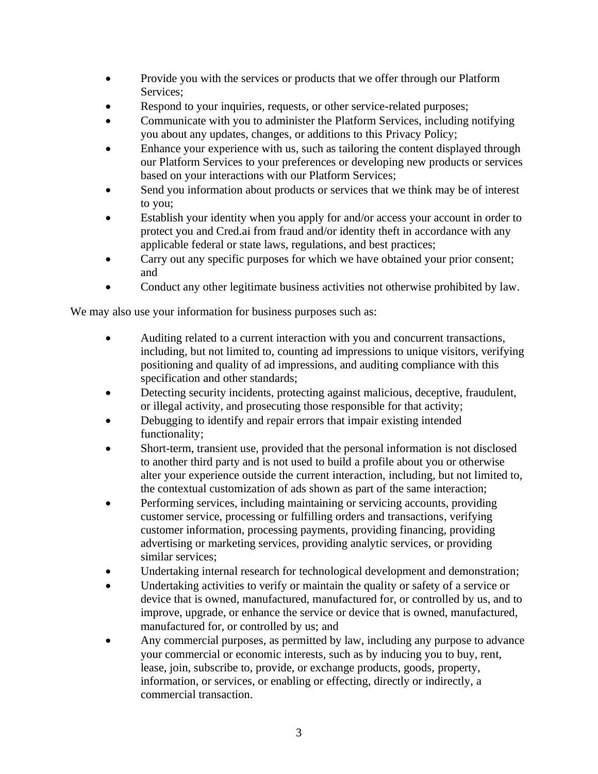- Provide you with the services or products that we offer through our Platform Services;
- Respond to your inquiries, requests, or other service-related purposes;
- Communicate with you to administer the Platform Services, including notifying you about any updates, changes, or additions to this Privacy Policy;
- Enhance your experience with us, such as tailoring the content displayed through our Platform Services to your preferences or developing new products or services based on your interactions with our Platform Services;
- Send you information about products or services that we think may be of interest to you;
- Establish your identity when you apply for and/or access your account in order to protect you and Cred.ai from fraud and/or identity theft in accordance with any applicable federal or state laws, regulations, and best practices;
- Carry out any specific purposes for which we have obtained your prior consent; and
- Conduct any other legitimate business activities not otherwise prohibited by law.

We may also use your information for business purposes such as:

- Auditing related to a current interaction with you and concurrent transactions, including, but not limited to, counting ad impressions to unique visitors, verifying positioning and quality of ad impressions, and auditing compliance with this specification and other standards;
- Detecting security incidents, protecting against malicious, deceptive, fraudulent, or illegal activity, and prosecuting those responsible for that activity;
- Debugging to identify and repair errors that impair existing intended functionality;
- Short-term, transient use, provided that the personal information is not disclosed to another third party and is not used to build a profile about you or otherwise alter your experience outside the current interaction, including, but not limited to, the contextual customization of ads shown as part of the same interaction;
- Performing services, including maintaining or servicing accounts, providing customer service, processing or fulfilling orders and transactions, verifying customer information, processing payments, providing financing, providing advertising or marketing services, providing analytic services, or providing similar services;
- Undertaking internal research for technological development and demonstration;
- Undertaking activities to verify or maintain the quality or safety of a service or device that is owned, manufactured, manufactured for, or controlled by us, and to improve, upgrade, or enhance the service or device that is owned, manufactured, manufactured for, or controlled by us; and
- Any commercial purposes, as permitted by law, including any purpose to advance your commercial or economic interests, such as by inducing you to buy, rent, lease, join, subscribe to, provide, or exchange products, goods, property, information, or services, or enabling or effecting, directly or indirectly, a commercial transaction.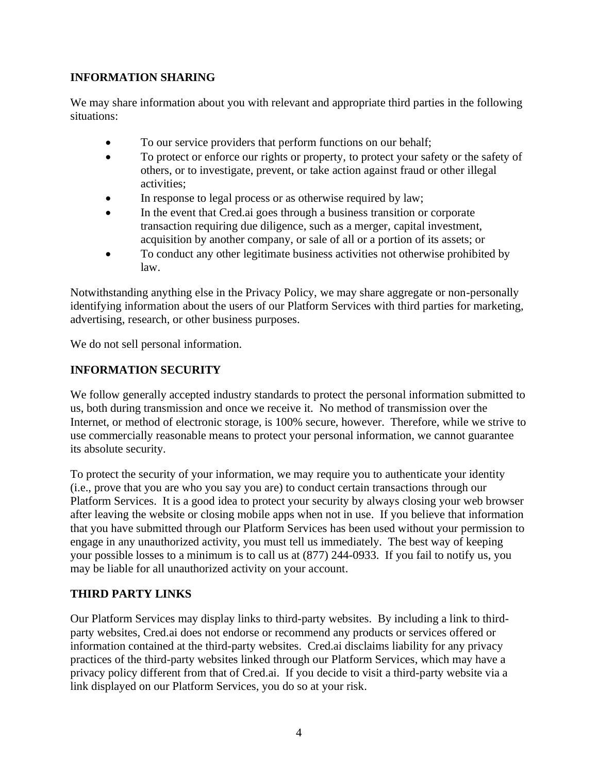## **INFORMATION SHARING**

We may share information about you with relevant and appropriate third parties in the following situations:

- To our service providers that perform functions on our behalf;
- To protect or enforce our rights or property, to protect your safety or the safety of others, or to investigate, prevent, or take action against fraud or other illegal activities;
- In response to legal process or as otherwise required by law;
- In the event that Cred.ai goes through a business transition or corporate transaction requiring due diligence, such as a merger, capital investment, acquisition by another company, or sale of all or a portion of its assets; or
- To conduct any other legitimate business activities not otherwise prohibited by law.

Notwithstanding anything else in the Privacy Policy, we may share aggregate or non-personally identifying information about the users of our Platform Services with third parties for marketing, advertising, research, or other business purposes.

We do not sell personal information.

## **INFORMATION SECURITY**

We follow generally accepted industry standards to protect the personal information submitted to us, both during transmission and once we receive it. No method of transmission over the Internet, or method of electronic storage, is 100% secure, however. Therefore, while we strive to use commercially reasonable means to protect your personal information, we cannot guarantee its absolute security.

To protect the security of your information, we may require you to authenticate your identity (i.e., prove that you are who you say you are) to conduct certain transactions through our Platform Services. It is a good idea to protect your security by always closing your web browser after leaving the website or closing mobile apps when not in use. If you believe that information that you have submitted through our Platform Services has been used without your permission to engage in any unauthorized activity, you must tell us immediately. The best way of keeping your possible losses to a minimum is to call us at (877) 244-0933. If you fail to notify us, you may be liable for all unauthorized activity on your account.

#### **THIRD PARTY LINKS**

Our Platform Services may display links to third-party websites. By including a link to thirdparty websites, Cred.ai does not endorse or recommend any products or services offered or information contained at the third-party websites. Cred.ai disclaims liability for any privacy practices of the third-party websites linked through our Platform Services, which may have a privacy policy different from that of Cred.ai. If you decide to visit a third-party website via a link displayed on our Platform Services, you do so at your risk.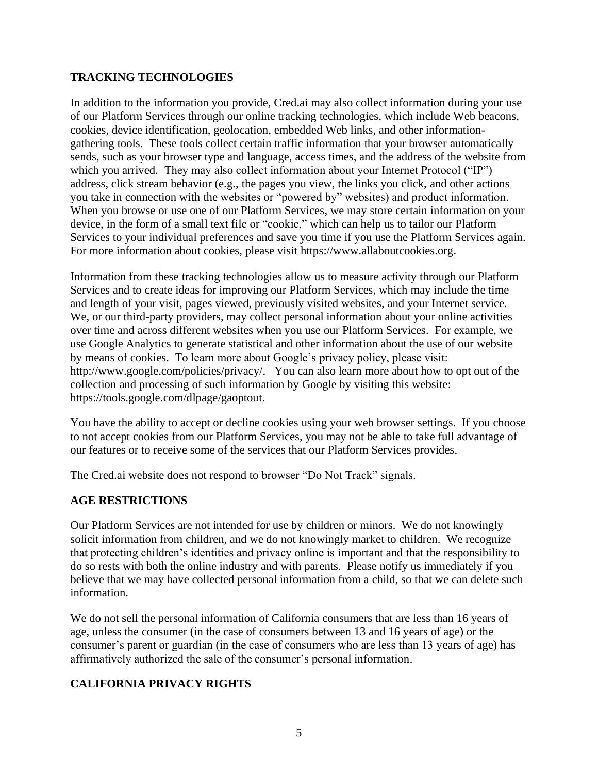#### **TRACKING TECHNOLOGIES**

In addition to the information you provide, Cred.ai may also collect information during your use of our Platform Services through our online tracking technologies, which include Web beacons, cookies, device identification, geolocation, embedded Web links, and other informationgathering tools. These tools collect certain traffic information that your browser automatically sends, such as your browser type and language, access times, and the address of the website from which you arrived. They may also collect information about your Internet Protocol ("IP") address, click stream behavior (e.g., the pages you view, the links you click, and other actions you take in connection with the websites or "powered by" websites) and product information. When you browse or use one of our Platform Services, we may store certain information on your device, in the form of a small text file or "cookie," which can help us to tailor our Platform Services to your individual preferences and save you time if you use the Platform Services again. For more information about cookies, please visit https://www.allaboutcookies.org.

Information from these tracking technologies allow us to measure activity through our Platform Services and to create ideas for improving our Platform Services, which may include the time and length of your visit, pages viewed, previously visited websites, and your Internet service. We, or our third-party providers, may collect personal information about your online activities over time and across different websites when you use our Platform Services. For example, we use Google Analytics to generate statistical and other information about the use of our website by means of cookies. To learn more about Google's privacy policy, please visit: http://www.google.com/policies/privacy/. You can also learn more about how to opt out of the collection and processing of such information by Google by visiting this website: https://tools.google.com/dlpage/gaoptout.

You have the ability to accept or decline cookies using your web browser settings. If you choose to not accept cookies from our Platform Services, you may not be able to take full advantage of our features or to receive some of the services that our Platform Services provides.

The Cred.ai website does not respond to browser "Do Not Track" signals.

#### **AGE RESTRICTIONS**

Our Platform Services are not intended for use by children or minors. We do not knowingly solicit information from children, and we do not knowingly market to children. We recognize that protecting children's identities and privacy online is important and that the responsibility to do so rests with both the online industry and with parents. Please notify us immediately if you believe that we may have collected personal information from a child, so that we can delete such information.

We do not sell the personal information of California consumers that are less than 16 years of age, unless the consumer (in the case of consumers between 13 and 16 years of age) or the consumer's parent or guardian (in the case of consumers who are less than 13 years of age) has affirmatively authorized the sale of the consumer's personal information.

# **CALIFORNIA PRIVACY RIGHTS**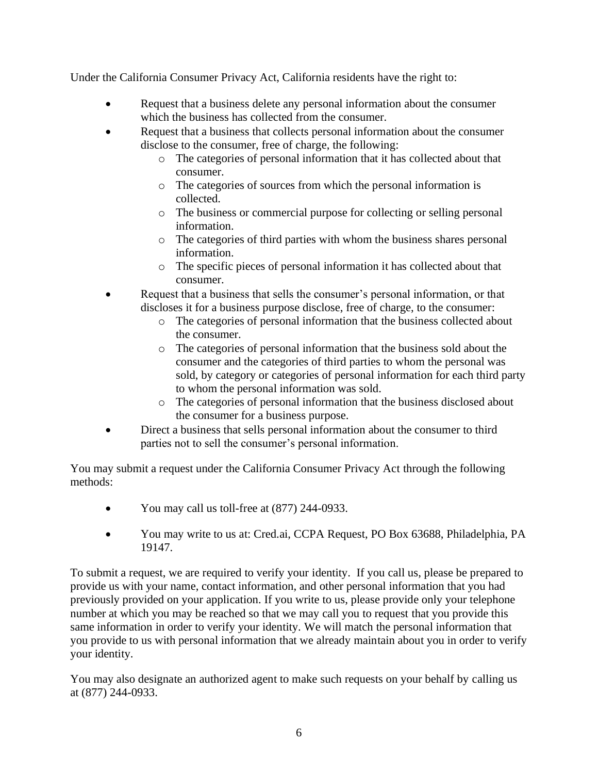Under the California Consumer Privacy Act, California residents have the right to:

- Request that a business delete any personal information about the consumer which the business has collected from the consumer.
- Request that a business that collects personal information about the consumer disclose to the consumer, free of charge, the following:
	- o The categories of personal information that it has collected about that consumer.
	- o The categories of sources from which the personal information is collected.
	- o The business or commercial purpose for collecting or selling personal information.
	- o The categories of third parties with whom the business shares personal information.
	- o The specific pieces of personal information it has collected about that consumer.
- Request that a business that sells the consumer's personal information, or that discloses it for a business purpose disclose, free of charge, to the consumer:
	- o The categories of personal information that the business collected about the consumer.
	- o The categories of personal information that the business sold about the consumer and the categories of third parties to whom the personal was sold, by category or categories of personal information for each third party to whom the personal information was sold.
	- o The categories of personal information that the business disclosed about the consumer for a business purpose.
- Direct a business that sells personal information about the consumer to third parties not to sell the consumer's personal information.

You may submit a request under the California Consumer Privacy Act through the following methods:

- You may call us toll-free at (877) 244-0933.
- You may write to us at: Cred.ai, CCPA Request, PO Box 63688, Philadelphia, PA 19147.

To submit a request, we are required to verify your identity. If you call us, please be prepared to provide us with your name, contact information, and other personal information that you had previously provided on your application. If you write to us, please provide only your telephone number at which you may be reached so that we may call you to request that you provide this same information in order to verify your identity. We will match the personal information that you provide to us with personal information that we already maintain about you in order to verify your identity.

You may also designate an authorized agent to make such requests on your behalf by calling us at (877) 244-0933.